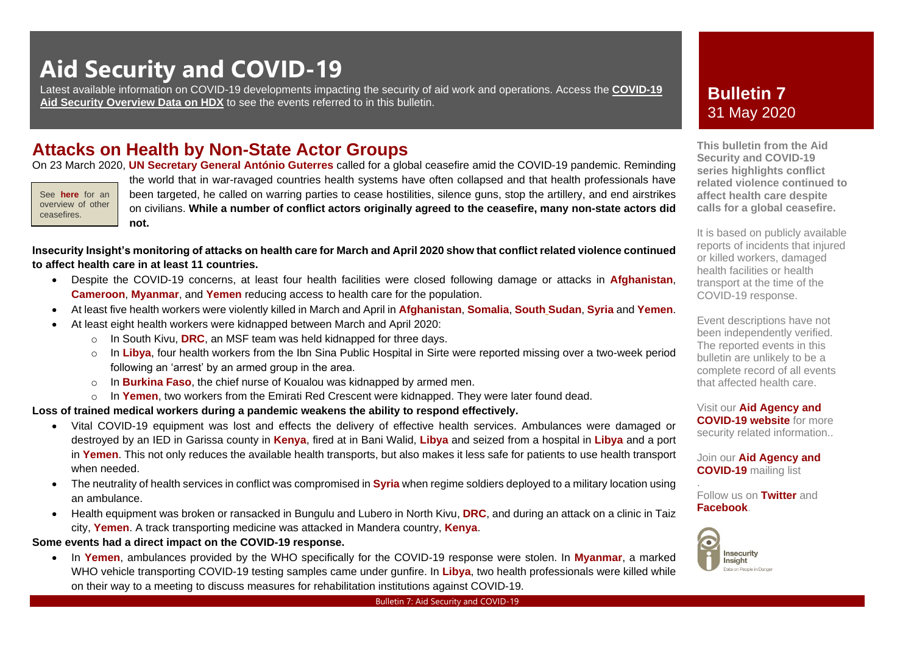# **Aid Security and COVID-19**

Latest available information on COVID-19 developments impacting the security of aid work and operations. Access the **[COVID-19](https://data.humdata.org/dataset/aid-security-and-covid-19)**  [Aid Security Overview Data on HDX](https://data.humdata.org/dataset/aid-security-and-covid-19) to see the events referred to in this bulletin.

### **Attacks on Health by Non-State Actor Groups**

On 23 March 2020, **[UN Secretary General António Guterres](https://www.un.org/press/en/2020/sgsm20018.doc.htm)** called for a global ceasefire amid the COVID-19 pandemic. Reminding

See **[here](https://www.globalceasefire.org/ceasefires)** for an overview of other ceasefires.

the world that in war-ravaged countries health systems have often collapsed and that health professionals have been targeted, he called on warring parties to cease hostilities, silence guns, stop the artillery, and end airstrikes on civilians. **While a number of conflict actors originally agreed to the ceasefire, many non-state actors did not.**

**Insecurity Insight's monitoring of attacks on health care for March and April 2020 show that conflict related violence continued to affect health care in at least 11 countries.** 

- Despite the COVID-19 concerns, at least four health facilities were closed following damage or attacks in **[Afghanistan](https://bit.ly/2LBQ3XE)**, **[Cameroon](https://bit.ly/3edCNVN)**, **[Myanmar](https://acleddata.com/#/dashboard)**, and **[Yemen](https://bit.ly/3bDufG1)** reducing access to health care for the population.
- At least five health workers were violently killed in March and April in **[Afghanistan](https://bit.ly/2LBQ3XE)**, **[Somalia](https://bit.ly/3bDufG1)**, **South [Sudan](https://bit.ly/2W7okDo)**, **[Syria](https://bit.ly/2W7okDo)** and **[Yemen](https://bit.ly/3bDufG1)**.
- At least eight health workers were kidnapped between March and April 2020:
	- o In [South Kivu,](https://bit.ly/3bDufG1) **DRC**, an MSF team was held kidnapped for three days.
	- o In **[Libya](https://bit.ly/3bDufG1)**, four health workers from the Ibn Sina Public Hospital in Sirte were reported missing over a two-week period following an 'arrest' by an armed group in the area.
	- o In **[Burkina Faso](https://bit.ly/3bDufG1)**, the chief nurse of Koualou was kidnapped by armed men.
	- o In **[Yemen](https://bit.ly/2W7okDo)**, two workers from the Emirati Red Crescent were kidnapped. They were later found dead.

#### **Loss of trained medical workers during a pandemic weakens the ability to respond effectively.**

- Vital COVID-19 equipment was lost and effects the delivery of effective health services. Ambulances were damaged or destroyed by an IED in Garissa county in **[Kenya](https://bit.ly/2W7okDo)**, fired at in [Bani Walid,](https://bit.ly/2W7okDo) **Libya** and seized from a hospital in **[Libya](https://bit.ly/3bDufG1)** and a port in **[Yemen](https://www.washingtontimes.com/news/2020/mar/26/iraq-lebanon-extend-government-restrictions-to-com/)**. This not only reduces the available health transports, but also makes it less safe for patients to use health transport when needed.
- The neutrality of health services in conflict was compromised in **[Syria](https://bit.ly/2W7okDo)** when regime soldiers deployed to a military location using an ambulance.
- Health equipment was broken or ransacked in [Bungulu and Lubero in North Kivu,](https://bit.ly/3bDufG1) **DRC**, and during an attack on a clinic in [Taiz](https://bit.ly/3bDufG1)  city, **[Yemen](https://bit.ly/3bDufG1)**. A track transporting medicine was attacked in [Mandera country,](https://bit.ly/2W7okDo) **Kenya**.

#### **Some events had a direct impact on the COVID-19 response.**

• In **[Yemen](https://www.washingtontimes.com/news/2020/mar/26/iraq-lebanon-extend-government-restrictions-to-com/)**, ambulances provided by the WHO specifically for the COVID-19 response were stolen. In **[Myanmar](https://bit.ly/3bDufG1)**, a marked WHO vehicle transporting COVID-19 testing samples came under gunfire. In **[Libya](https://bit.ly/2W7okDo)**, two health professionals were killed while on their way to a meeting to discuss measures for rehabilitation institutions against COVID-19.

### **Bulletin 7** 31 May 2020

**This bulletin from the Aid Security and COVID-19 series highlights conflict related violence continued to affect health care despite calls for a global ceasefire.** 

It is based on publicly available reports of incidents that injured or killed workers, damaged health facilities or health transport at the time of the COVID-19 response.

Event descriptions have not been independently verified. The reported events in this bulletin are unlikely to be a complete record of all events that affected health care.

Visit our **[Aid Agency and](https://aidindanger.us12.list-manage.com/track/click?u=6ca1f5d2d10a8ab5e9333c51f&id=eefd170ca6&e=4b5ade5e34)  [COVID-19 website](https://aidindanger.us12.list-manage.com/track/click?u=6ca1f5d2d10a8ab5e9333c51f&id=eefd170ca6&e=4b5ade5e34)** for more security related information..

Join our **[Aid Agency and](https://insecurityinsight.us12.list-manage.com/subscribe?u=6ca1f5d2d10a8ab5e9333c51f&id=e0600a616e)  [COVID-19](https://insecurityinsight.us12.list-manage.com/subscribe?u=6ca1f5d2d10a8ab5e9333c51f&id=e0600a616e)** mailing list

. Follow us on **[Twitter](https://twitter.com/InsecurityInsig)** and **[Facebook](https://www.facebook.com/InsecInsight/)**.

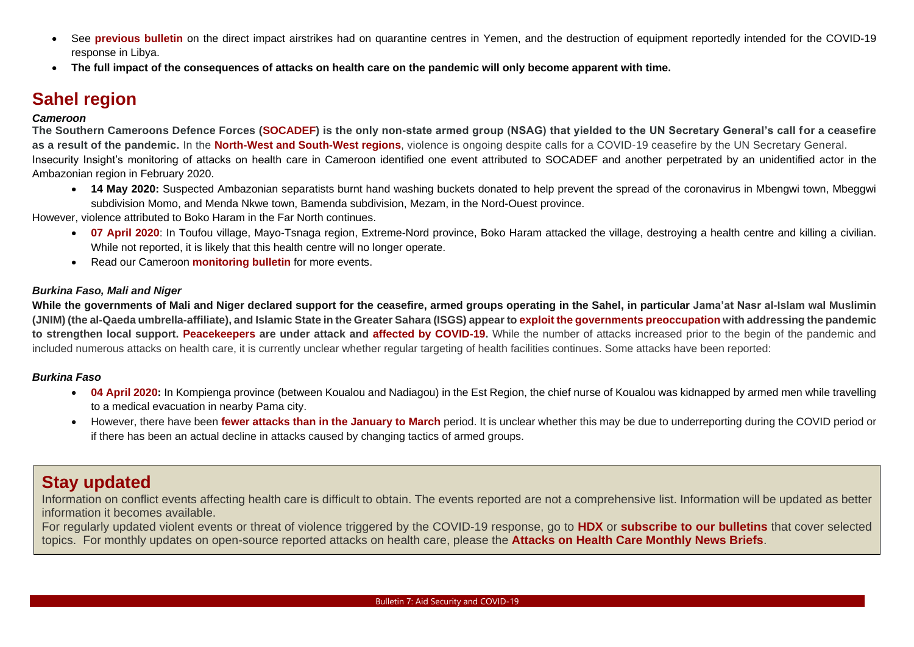- See **[previous](https://bit.ly/2zmayW7) bulletin** on the direct impact airstrikes had on quarantine centres in Yemen, and the destruction of equipment reportedly intended for the COVID-19 response in Libya.
- **The full impact of the consequences of attacks on health care on the pandemic will only become apparent with time.**

# **Sahel region**

#### *Cameroon*

**The Southern Cameroons Defence Forces [\(SOCADEF\)](https://cruxnow.com/church-in-africa/2020/04/coronavirus-pandemic-offers-glimmer-of-hope-for-cameroons-anglophone-crisis/) is the only non-state armed group (NSAG) that yielded to the UN Secretary General's call for a ceasefire as a result of the pandemic.** In the **[North-West and South-West regions](http://www.rfi.fr/en/africa/20200327-mixed-reception-to-call-for-coronavirus-ceasefire-in-cameroon-s-anglophone-regions)**, violence is ongoing despite calls for a COVID-19 ceasefire by the UN Secretary General. Insecurity Insight's monitoring of attacks on health care in Cameroon identified one event attributed to SOCADEF and another perpetrated by an unidentified actor in the Ambazonian region in February 2020.

• **14 May 2020:** Suspected Ambazonian separatists burnt hand washing buckets donated to help prevent the spread of the coronavirus in Mbengwi town, Mbeggwi subdivision Momo, and Menda Nkwe town, Bamenda subdivision, Mezam, in the Nord-Ouest province.

However, violence attributed to Boko Haram in the Far North continues.

- **[07 April 2020](https://bit.ly/3edCNVN)**: In Toufou village, Mayo-Tsnaga region, Extreme-Nord province, Boko Haram attacked the village, destroying a health centre and killing a civilian. While not reported, it is likely that this health centre will no longer operate.
- Read our Cameroon **[monitoring bulletin](https://bit.ly/3edCNVN)** for more events.

#### *Burkina Faso, Mali and Niger*

**While the governments of Mali and Niger declared support for the ceasefire, armed groups operating in the Sahel, in particular Jama'at Nasr al-Islam wal Muslimin (JNIM) (the al-Qaeda umbrella-affiliate), and Islamic State in the Greater Sahara (ISGS) appear to [exploit the governments preoccupation](https://icct.nl/publication/the-impact-of-coronavirus-on-terrorism-in-the-sahel/) with addressing the pandemic to strengthen local support. [Peacekeepers](https://www.lemonde.fr/afrique/article/2020/05/02/l-elysee-annonce-la-mort-d-un-legionnaire-de-l-armee-francaise-blesse-le-23-avril-au-mali_6038422_3212.html) are under attack and [affected by COVID-19.](https://mobile.francetvinfo.fr/sante/maladie/coronavirus/coronavirus-larmee-francaise-touchee-par-le-virus_3905511.html#xtref=acc_dir&xtref=https://www.francetvinfo.fr/sante/maladie/coronavirus/coronavirus-larmee-francaise-touchee-par-le-virus_3905511.html)** While the number of attacks increased prior to the begin of the pandemic and included numerous attacks on health care, it is currently unclear whether regular targeting of health facilities continues. Some attacks have been reported:

#### *Burkina Faso*

- [04 April 2020:](https://bit.ly/3bDufG1) In Kompienga province (between Koualou and Nadiagou) in the Est Region, the chief nurse of Koualou was kidnapped by armed men while travelling to a medical evacuation in nearby Pama city.
- However, there have been **[fewer attacks than in the January to March](https://bit.ly/3aTir2w)** period. It is unclear whether this may be due to underreporting during the COVID period or if there has been an actual decline in attacks caused by changing tactics of armed groups.

### **Stay updated**

Information on conflict events affecting health care is difficult to obtain. The events reported are not a comprehensive list. Information will be updated as better information it becomes available.

For regularly updated violent events or threat of violence triggered by the COVID-19 response, go to **[HDX](https://data.humdata.org/dataset/aid-security-and-covid-19)** or **[subscribe to our bulletins](https://insecurityinsight.us12.list-manage.com/subscribe?u=6ca1f5d2d10a8ab5e9333c51f&id=e0600a616e)** that cover selected topics. For monthly updates on open-source reported attacks on health care, please the **[Attacks on Health Care Monthly News Briefs](http://insecurityinsight.org/projects/healthcare/monthlynewsbrief)**.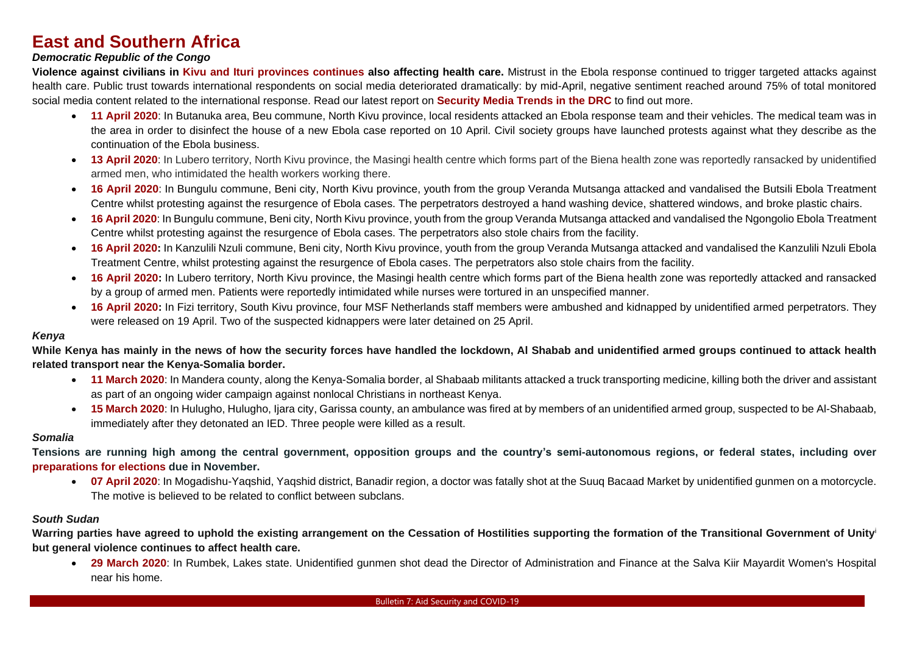# **East and Southern Africa**

#### *Democratic Republic of the Congo*

**Violence against civilians in [Kivu and Ituri provinces continues](https://www.unhcr.org/news/briefing/2020/4/5e995dad4/ongoing-insecurity-eastern-drc-derail-coronavirus-containment.html) also affecting health care.** Mistrust in the Ebola response continued to trigger targeted attacks against health care. Public trust towards international respondents on social media deteriorated dramatically: by mid-April, negative sentiment reached around 75% of total monitored social media content related to the international response. Read our latest report on **[Security Media Trends in the DRC](https://bit.ly/3eYXGVS)** to find out more.

- **[11 April 2020](https://bit.ly/3bDufG1)**: In Butanuka area, Beu commune, North Kivu province, local residents attacked an Ebola response team and their vehicles. The medical team was in the area in order to disinfect the house of a new Ebola case reported on 10 April. Civil society groups have launched protests against what they describe as the continuation of the Ebola business.
- **[13 April 2020](https://bit.ly/3bDufG1)**: In Lubero territory, North Kivu province, the Masingi health centre which forms part of the Biena health zone was reportedly ransacked by unidentified armed men, who intimidated the health workers working there.
- **[16 April 2020](https://bit.ly/3bDufG1)**: In Bungulu commune, Beni city, North Kivu province, youth from the group Veranda Mutsanga attacked and vandalised the Butsili Ebola Treatment Centre whilst protesting against the resurgence of Ebola cases. The perpetrators destroyed a hand washing device, shattered windows, and broke plastic chairs.
- **[16 April 2020](https://bit.ly/3bDufG1)**: In Bungulu commune, Beni city, North Kivu province, youth from the group Veranda Mutsanga attacked and vandalised the Ngongolio Ebola Treatment Centre whilst protesting against the resurgence of Ebola cases. The perpetrators also stole chairs from the facility.
- **[16 April 2020:](https://bit.ly/3bDufG1)** In Kanzulili Nzuli commune, Beni city, North Kivu province, youth from the group Veranda Mutsanga attacked and vandalised the Kanzulili Nzuli Ebola Treatment Centre, whilst protesting against the resurgence of Ebola cases. The perpetrators also stole chairs from the facility.
- **[16 April 2020:](https://bit.ly/3bDufG1)** In Lubero territory, North Kivu province, the Masingi health centre which forms part of the Biena health zone was reportedly attacked and ransacked by a group of armed men. Patients were reportedly intimidated while nurses were tortured in an unspecified manner.
- **[16 April 2020:](https://bit.ly/3bDufG1)** In Fizi territory, South Kivu province, four MSF Netherlands staff members were ambushed and kidnapped by unidentified armed perpetrators. They were released on 19 April. Two of the suspected kidnappers were later detained on 25 April.

#### *Kenya*

**While Kenya has mainly in the news of how the security forces have handled the lockdown, Al Shabab and unidentified armed groups continued to attack health related transport near the Kenya-Somalia border.** 

- [11 March 2020](https://bit.ly/2W7okDo): In Mandera county, along the Kenya-Somalia border, al Shabaab militants attacked a truck transporting medicine, killing both the driver and assistant as part of an ongoing wider campaign against nonlocal Christians in northeast Kenya.
- **[15 March 2020](https://bit.ly/2W7okDo)**: In Hulugho, Hulugho, Ijara city, Garissa county, an ambulance was fired at by members of an unidentified armed group, suspected to be Al-Shabaab, immediately after they detonated an IED. Three people were killed as a result.

#### *Somalia*

**Tensions are running high among the central government, opposition groups and the country's semi-autonomous regions, or federal states, including over [preparations for elections](https://www.crisisgroup.org/africa/horn-africa/somalia/b155-covid-19-somalia-public-health-emergency-electoral-minefield) due in November.**

• **[07 April 2020](https://bit.ly/3bDufG1)**: In Mogadishu-Yaqshid, Yaqshid district, Banadir region, a doctor was fatally shot at the Suuq Bacaad Market by unidentified gunmen on a motorcycle. The motive is believed to be related to conflict between subclans.

#### *South Sudan*

**Warring parties have agreed to uphold the existing arrangement on the Cessation of Hostilities supporting the formation of the Transitional Government of Unity**<sup>i</sup> **but general violence continues to affect health care.**

• **[29 March 2020](https://bit.ly/2W7okDo)**: In Rumbek, Lakes state. Unidentified gunmen shot dead the Director of Administration and Finance at the Salva Kiir Mayardit Women's Hospital near his home.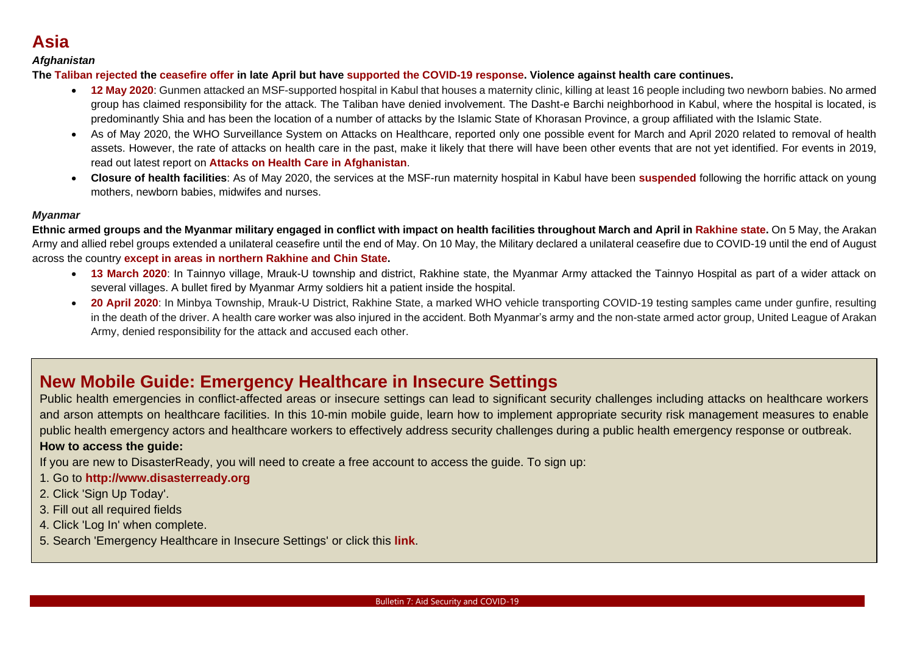# **Asia**

#### *Afghanistan*

**The [Taliban rejected](https://www.arabnews.com/node/1660066/world,) the [ceasefire offer](https://www.dw.com/en/afghanistan-taliban-rejects-ramadan-ceasefire/a-53234812) in late April but have [supported the COVID-19 response.](https://www.lowyinstitute.org/the-interpreter/taliban-makes-most-covid-19-crisis-afghanistan) Violence against health care continues.** 

- **[12 May 2020](https://bit.ly/2LBQ3XE)**: Gunmen attacked an MSF-supported hospital in Kabul that houses a maternity clinic, killing at least 16 people including two newborn babies. No armed group has claimed responsibility for the attack. The Taliban have denied involvement. The Dasht-e Barchi neighborhood in Kabul, where the hospital is located, is predominantly Shia and has been the location of a number of attacks by the Islamic State of Khorasan Province, a group affiliated with the Islamic State.
- As of May 2020, the WHO Surveillance System on Attacks on Healthcare, reported only one possible event for March and April 2020 related to removal of health assets. However, the rate of attacks on health care in the past, make it likely that there will have been other events that are not yet identified. For events in 2019, read out latest report on **Attacks on Health [Care in Afghanistan](https://bit.ly/2LBQ3XE)**.
- **Closure of health facilities**: As of May 2020, the services at the MSF-run maternity hospital in Kabul have been **[suspended](https://www.un.org/press/en/2020/sgsm20018.doc.htm)** following the horrific attack on young mothers, newborn babies, midwifes and nurses.

#### *Myanmar*

**Ethnic armed groups and the Myanmar military engaged in conflict with impact on health facilities throughout March and April in [Rakhine state.](https://www.dw.com/en/myanmar-armed-conflict-puts-brakes-on-covid-19-response/a-53360164)** On 5 May, the Arakan Army and allied rebel groups extended a unilateral ceasefire until the end of May. On 10 May, the Military declared a unilateral ceasefire due to COVID-19 until the end of August across the country **[except in areas in northern Rakhine and](https://www.garda.com/crisis24/news-alerts/340591/myanmar-military-declares-unilateral-nationwide-ceasefire-due-to-covid-19-until-august-31-update-1) Chin State.**

- **13 [March 2020](https://bit.ly/2W7okDo)**: In Tainnyo village, Mrauk-U township and district, Rakhine state, the Myanmar Army attacked the Tainnyo Hospital as part of a wider attack on several villages. A bullet fired by Myanmar Army soldiers hit a patient inside the hospital.
- **[20 April 2020](https://bit.ly/3bDufG1)**: In Minbya Township, Mrauk-U District, Rakhine State, a marked WHO vehicle transporting COVID-19 testing samples came under gunfire, resulting in the death of the driver. A health care worker was also injured in the accident. Both Myanmar's army and the non-state armed actor group, United League of Arakan Army, denied responsibility for the attack and accused each other.

## **New Mobile Guide: Emergency Healthcare in Insecure Settings**

Public health emergencies in conflict-affected areas or insecure settings can lead to significant security challenges including attacks on healthcare workers and arson attempts on healthcare facilities. In this 10-min mobile guide, learn how to implement appropriate security risk management measures to enable public health emergency actors and healthcare workers to effectively address security challenges during a public health emergency response or outbreak. **How to access the guide:**

If you are new to DisasterReady, you will need to create a free account to access the guide. To sign up:

- 1. Go to **[http://www.disasterready.org](http://www.disasterready.org/)**
- 2. Click 'Sign Up Today'.
- 3. Fill out all required fields
- 4. Click 'Log In' when complete.
- 5. Search 'Emergency Healthcare in Insecure Settings' or click this **[link](https://ready.csod.com/ui/lms-learning-details/app/course/e201e9ad-76f2-4080-87ed-428b648cb3c4)**.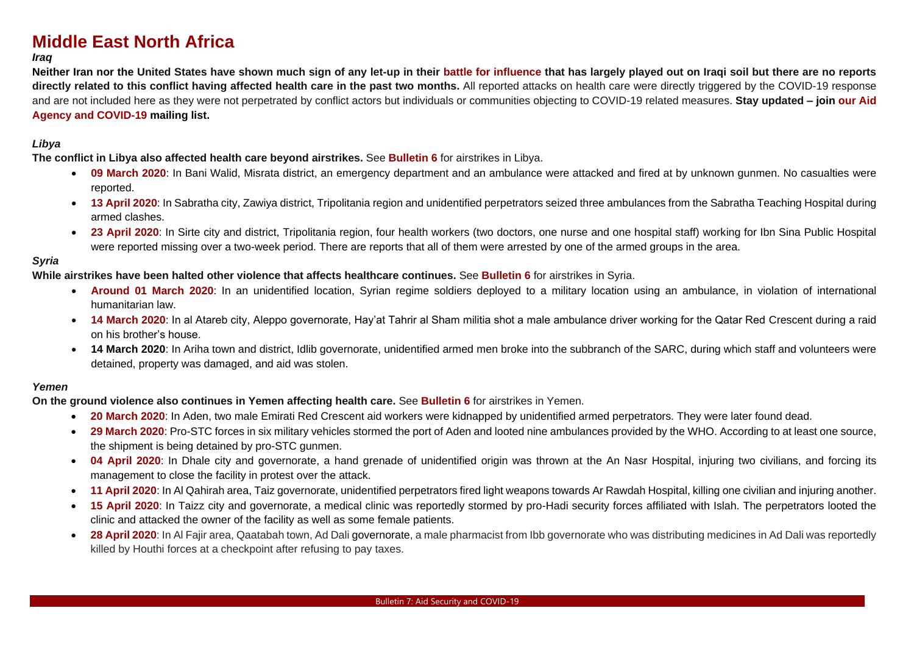# **Middle East North Africa**

#### *Iraq*

**Neither Iran nor the United States have shown much sign of any let-up in their [battle for influence](https://www.atlanticcouncil.org/blogs/new-atlanticist/us-strategy-in-iraq-and-the-coronavirus-plot-twist/) that has largely played out on Iraqi soil but there are no reports directly related to this conflict having affected health care in the past two months.** All reported attacks on health care were directly triggered by the COVID-19 response and are not included here as they were not perpetrated by conflict actors but individuals or communities objecting to COVID-19 related measures. **Stay updated – join our [Aid](https://insecurityinsight.us12.list-manage.com/subscribe?u=6ca1f5d2d10a8ab5e9333c51f&id=e0600a616e)  [Agency and COVID-19](https://insecurityinsight.us12.list-manage.com/subscribe?u=6ca1f5d2d10a8ab5e9333c51f&id=e0600a616e) mailing list.**

#### *Libya*

**The conflict in Libya also affected health care beyond airstrikes.** See **[Bulletin 6](https://bit.ly/2zmayW7)** for airstrikes in Libya.

- **[09 March 2020](https://bit.ly/2W7okDo)**: In Bani Walid, Misrata district, an emergency department and an ambulance were attacked and fired at by unknown gunmen. No casualties were reported.
- **[13 April 2020](https://bit.ly/3bDufG1)**: In Sabratha city, Zawiya district, Tripolitania region and unidentified perpetrators seized three ambulances from the Sabratha Teaching Hospital during armed clashes.
- **[23 April 2020](https://bit.ly/3bDufG1)**: In Sirte city and district, Tripolitania region, four health workers (two doctors, one nurse and one hospital staff) working for Ibn Sina Public Hospital were reported missing over a two-week period. There are reports that all of them were arrested by one of the armed groups in the area.

#### *Syria*

**While airstrikes have been halted other violence that affects healthcare continues.** See **[Bulletin 6](https://bit.ly/2zmayW7)** for airstrikes in Syria.

- **[Around 01 March 2020](https://bit.ly/2W7okDo)**: In an unidentified location, Syrian regime soldiers deployed to a military location using an ambulance, in violation of international humanitarian law.
- **[14 March 2020](https://bit.ly/2W7okDo)**: In al Atareb city, Aleppo governorate, Hay'at Tahrir al Sham militia shot a male ambulance driver working for the Qatar Red Crescent during a raid on his brother's house.
- **14 March 2020**: In Ariha town and district, Idlib governorate, unidentified armed men broke into the subbranch of the SARC, during which staff and volunteers were detained, property was damaged, and aid was stolen.

#### *Yemen*

**On the ground violence also continues in Yemen affecting health care.** See **[Bulletin 6](https://bit.ly/2zmayW7)** for airstrikes in Yemen.

- **[20 March 2020](https://bit.ly/2W7okDo)**: In Aden, two male Emirati Red Crescent aid workers were kidnapped by unidentified armed perpetrators. They were later found dead.
- **[29 March 2020](https://www.acleddata.com/)**: Pro-STC forces in six military vehicles stormed the port of Aden and looted nine ambulances provided by the WHO. According to at least one source, the shipment is being detained by pro-STC gunmen.
- **[04 April 2020](https://bit.ly/3bDufG1)**: In Dhale city and governorate, a hand grenade of unidentified origin was thrown at the An Nasr Hospital, injuring two civilians, and forcing its management to close the facility in protest over the attack.
- **[11 April 2020](https://bit.ly/3bDufG1)**: In Al Qahirah area, Taiz governorate, unidentified perpetrators fired light weapons towards Ar Rawdah Hospital, killing one civilian and injuring another.
- **[15 April 2020](https://bit.ly/3bDufG1)**: In Taizz city and governorate, a medical clinic was reportedly stormed by pro-Hadi security forces affiliated with Islah. The perpetrators looted the clinic and attacked the owner of the facility as well as some female patients.
- **[28 April 2020](https://bit.ly/3bDufG1)**: In Al Fajir area, Qaatabah town, Ad Dali governorate, a male pharmacist from Ibb governorate who was distributing medicines in Ad Dali was reportedly killed by Houthi forces at a checkpoint after refusing to pay taxes.